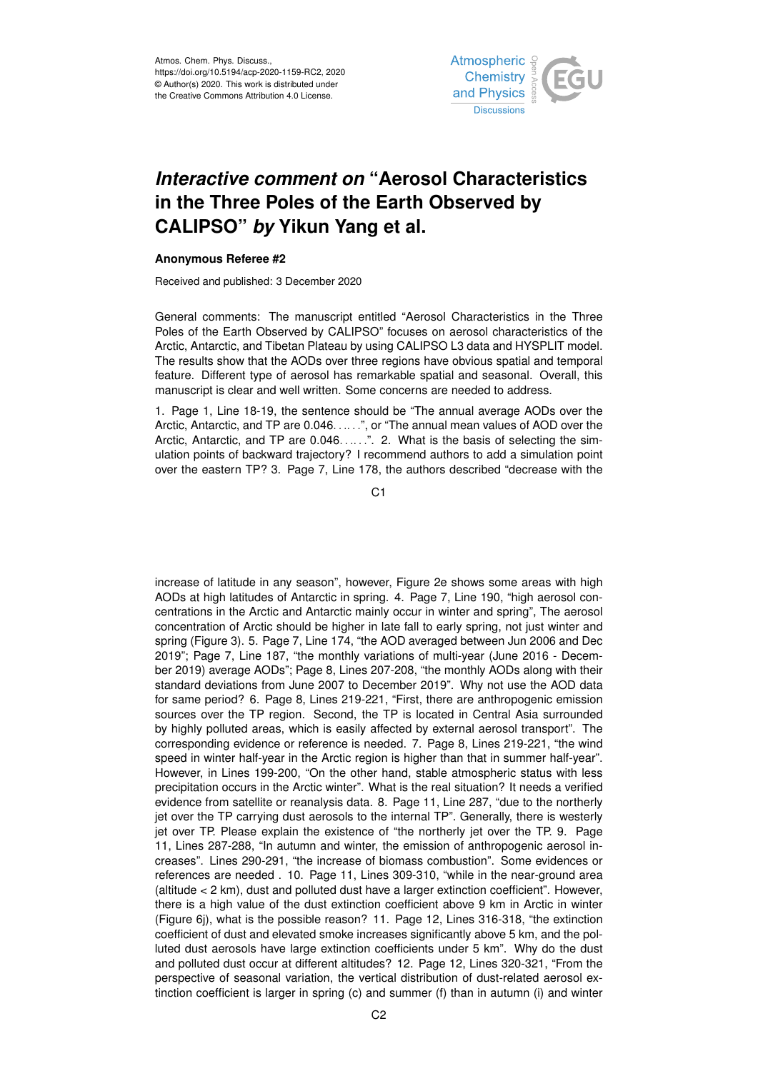

## *Interactive comment on* **"Aerosol Characteristics in the Three Poles of the Earth Observed by CALIPSO"** *by* **Yikun Yang et al.**

## **Anonymous Referee #2**

Received and published: 3 December 2020

General comments: The manuscript entitled "Aerosol Characteristics in the Three Poles of the Earth Observed by CALIPSO" focuses on aerosol characteristics of the Arctic, Antarctic, and Tibetan Plateau by using CALIPSO L3 data and HYSPLIT model. The results show that the AODs over three regions have obvious spatial and temporal feature. Different type of aerosol has remarkable spatial and seasonal. Overall, this manuscript is clear and well written. Some concerns are needed to address.

1. Page 1, Line 18-19, the sentence should be "The annual average AODs over the Arctic, Antarctic, and TP are 0.046. . .. . .", or "The annual mean values of AOD over the Arctic, Antarctic, and TP are 0.046. . . . . ". 2. What is the basis of selecting the simulation points of backward trajectory? I recommend authors to add a simulation point over the eastern TP? 3. Page 7, Line 178, the authors described "decrease with the

C<sub>1</sub>

increase of latitude in any season", however, Figure 2e shows some areas with high AODs at high latitudes of Antarctic in spring. 4. Page 7, Line 190, "high aerosol concentrations in the Arctic and Antarctic mainly occur in winter and spring", The aerosol concentration of Arctic should be higher in late fall to early spring, not just winter and spring (Figure 3). 5. Page 7, Line 174, "the AOD averaged between Jun 2006 and Dec 2019"; Page 7, Line 187, "the monthly variations of multi-year (June 2016 - December 2019) average AODs"; Page 8, Lines 207-208, "the monthly AODs along with their standard deviations from June 2007 to December 2019". Why not use the AOD data for same period? 6. Page 8, Lines 219-221, "First, there are anthropogenic emission sources over the TP region. Second, the TP is located in Central Asia surrounded by highly polluted areas, which is easily affected by external aerosol transport". The corresponding evidence or reference is needed. 7. Page 8, Lines 219-221, "the wind speed in winter half-year in the Arctic region is higher than that in summer half-year". However, in Lines 199-200, "On the other hand, stable atmospheric status with less precipitation occurs in the Arctic winter". What is the real situation? It needs a verified evidence from satellite or reanalysis data. 8. Page 11, Line 287, "due to the northerly jet over the TP carrying dust aerosols to the internal TP". Generally, there is westerly jet over TP. Please explain the existence of "the northerly jet over the TP. 9. Page 11, Lines 287-288, "In autumn and winter, the emission of anthropogenic aerosol increases". Lines 290-291, "the increase of biomass combustion". Some evidences or references are needed . 10. Page 11, Lines 309-310, "while in the near-ground area (altitude < 2 km), dust and polluted dust have a larger extinction coefficient". However, there is a high value of the dust extinction coefficient above 9 km in Arctic in winter (Figure 6j), what is the possible reason? 11. Page 12, Lines 316-318, "the extinction coefficient of dust and elevated smoke increases significantly above 5 km, and the polluted dust aerosols have large extinction coefficients under 5 km". Why do the dust and polluted dust occur at different altitudes? 12. Page 12, Lines 320-321, "From the perspective of seasonal variation, the vertical distribution of dust-related aerosol extinction coefficient is larger in spring (c) and summer (f) than in autumn (i) and winter